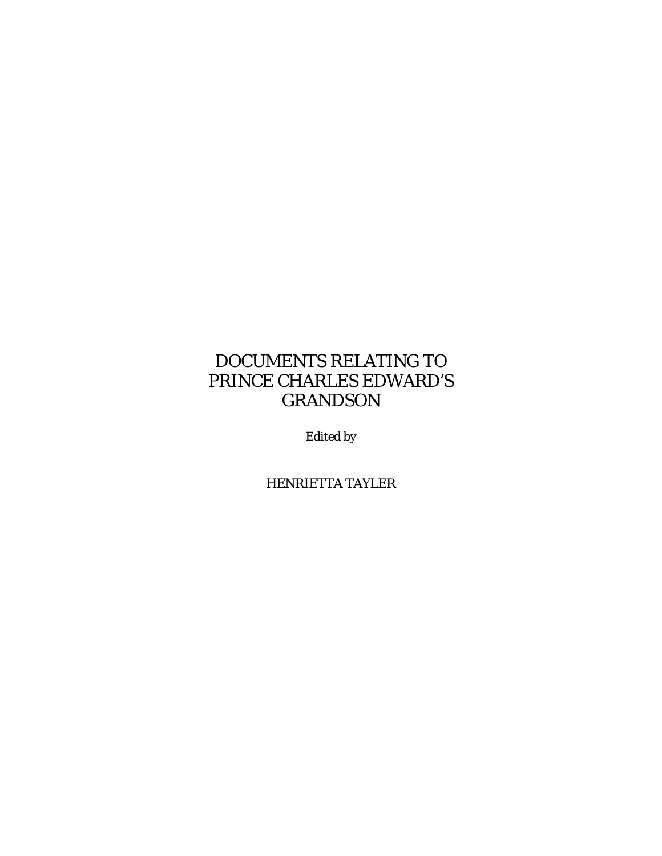# DOCUMENTS RELATING TO PRINCE CHARLES EDWARD'S GRANDSON

Edited by

HENRIETTA TAYLER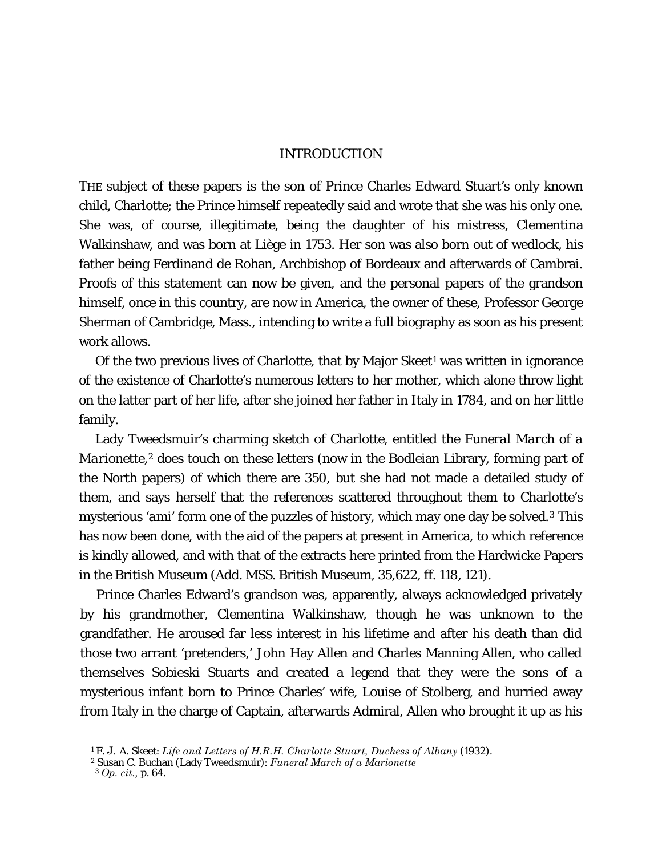## INTRODUCTION

THE subject of these papers is the son of Prince Charles Edward Stuart's only known child, Charlotte; the Prince himself repeatedly said and wrote that she was his only one. She was, of course, illegitimate, being the daughter of his mistress, Clementina Walkinshaw, and was born at Liège in 1753. Her son was also born out of wedlock, his father being Ferdinand de Rohan, Archbishop of Bordeaux and afterwards of Cambrai. Proofs of this statement can now be given, and the personal papers of the grandson himself, once in this country, are now in America, the owner of these, Professor George Sherman of Cambridge, Mass., intending to write a full biography as soon as his present work allows.

Of the two previous lives of Charlotte, that by Major Skeet<sup>[1](#page-1-0)</sup> was written in ignorance of the existence of Charlotte's numerous letters to her mother, which alone throw light on the latter part of her life, after she joined her father in Italy in 1784, and on her little family.

Lady Tweedsmuir's charming sketch of Charlotte, entitled the *Funeral March of a Marionette*,<sup>[2](#page-1-1)</sup> does touch on these letters (now in the Bodleian Library, forming part of the North papers) of which there are 350, but she had not made a detailed study of them, and says herself that the references scattered throughout them to Charlotte's mysterious '*ami*' form one of the puzzles of history, which may one day be solved.[3](#page-1-2) This has now been done, with the aid of the papers at present in America, to which reference is kindly allowed, and with that of the extracts here printed from the Hardwicke Papers in the British Museum (Add. MSS. British Museum, 35,622, ff. 118, 121).

Prince Charles Edward's grandson was, apparently, always acknowledged privately by his grandmother, Clementina Walkinshaw, though he was unknown to the grandfather. He aroused far less interest in his lifetime and after his death than did those two arrant 'pretenders,' John Hay Allen and Charles Manning Allen, who called themselves Sobieski Stuarts and created a legend that they were the sons of a mysterious infant born to Prince Charles' wife, Louise of Stolberg, and hurried away from Italy in the charge of Captain, afterwards Admiral, Allen who brought it up as his

<span id="page-1-0"></span><sup>1</sup> F. J. A. Skeet: *Life and Letters of H.R.H. Charlotte Stuart, Duchess of Albany* (1932).

<span id="page-1-2"></span><span id="page-1-1"></span><sup>2</sup> Susan C. Buchan (Lady Tweedsmuir): *Funeral March of a Marionette*

<sup>3</sup> *Op. cit.,* p. 64.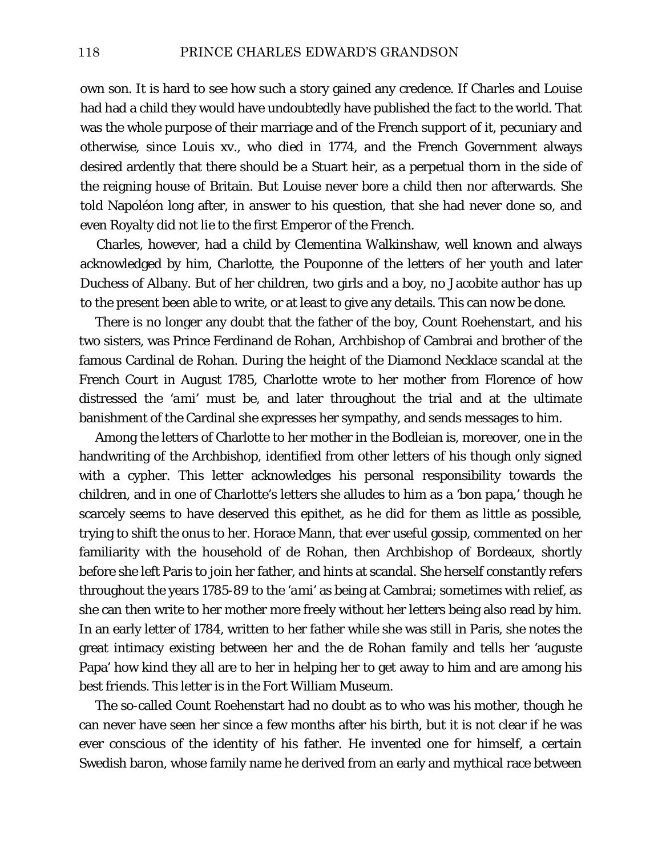own son. It is hard to see how such a story gained any credence. If Charles and Louise had had a child they would have undoubtedly have published the fact to the world. That was the whole purpose of their marriage and of the French support of it, pecuniary and otherwise, since Louis xv., who died in 1774, and the French Government always desired ardently that there should be a Stuart heir, as a perpetual thorn in the side of the reigning house of Britain. But Louise never bore a child then nor afterwards. She told Napoléon long after, in answer to his question, that she had never done so, and even Royalty did not lie to the first Emperor of the French.

Charles, however, had a child by Clementina Walkinshaw, well known and always acknowledged by him, Charlotte, the Pouponne of the letters of her youth and later Duchess of Albany. But of her children, two girls and a boy, no Jacobite author has up to the present been able to write, or at least to give any details. This can now be done.

There is no longer any doubt that the father of the boy, Count Roehenstart, and his two sisters, was Prince Ferdinand de Rohan, Archbishop of Cambrai and brother of the famous Cardinal de Rohan. During the height of the Diamond Necklace scandal at the French Court in August 1785, Charlotte wrote to her mother from Florence of how distressed the '*ami*' must be, and later throughout the trial and at the ultimate banishment of the Cardinal she expresses her sympathy, and sends messages to him.

Among the letters of Charlotte to her mother in the Bodleian is, moreover, one in the handwriting of the Archbishop, identified from other letters of his though only signed with a cypher. This letter acknowledges his personal responsibility towards the children, and in one of Charlotte's letters she alludes to him as a 'bon papa,' though he scarcely seems to have deserved this epithet, as he did for them as little as possible, trying to shift the onus to her. Horace Mann, that ever useful gossip, commented on her familiarity with the household of de Rohan, then Archbishop of Bordeaux, shortly before she left Paris to join her father, and hints at scandal. She herself constantly refers throughout the years 1785-89 to the '*ami*' as being at Cambrai; sometimes with relief, as she can then write to her mother more freely without her letters being also read by him. In an early letter of 1784, written to her father while she was still in Paris, she notes the great intimacy existing between her and the de Rohan family and tells her 'auguste Papa' how kind they all are to her in helping her to get away to him and are among his best friends. This letter is in the Fort William Museum.

The so-called Count Roehenstart had no doubt as to who was his mother, though he can never have seen her since a few months after his birth, but it is not clear if he was ever conscious of the identity of his father. He invented one for himself, a certain Swedish baron, whose family name he derived from an early and mythical race between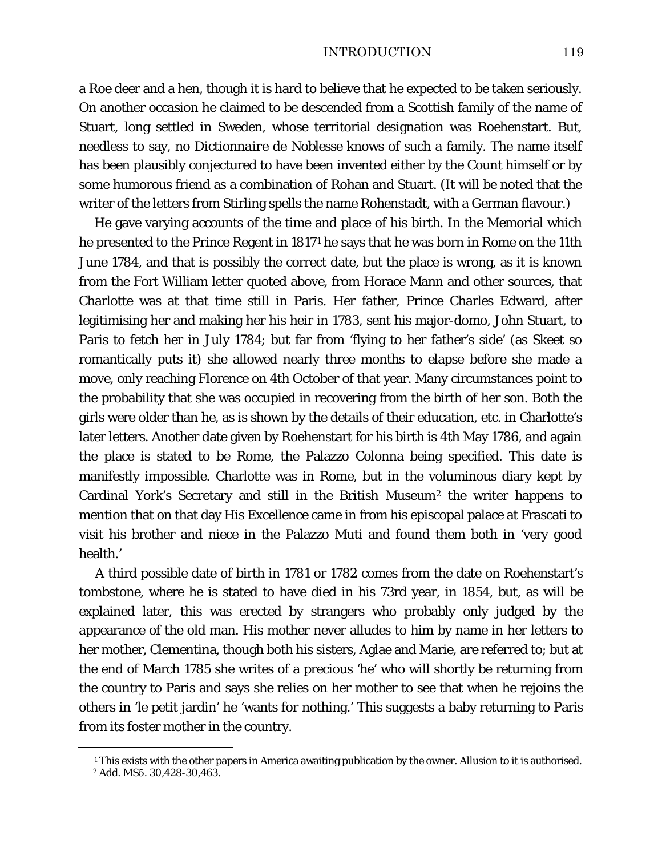#### INTRODUCTION 119

a Roe deer and a hen, though it is hard to believe that he expected to be taken seriously. On another occasion he claimed to be descended from a Scottish family of the name of Stuart, long settled in Sweden, whose territorial designation was Roehenstart. But, needless to say, no *Dictionnaire de Noblesse* knows of such a family. The name itself has been plausibly conjectured to have been invented either by the Count himself or by some humorous friend as a combination of Rohan and Stuart. (It will be noted that the writer of the letters from Stirling spells the name Rohenstadt, with a German flavour.)

He gave varying accounts of the time and place of his birth. In the Memorial which he presented to the Prince Regent in 1817[1](#page-3-0) he says that he was born in Rome on the 11th June 1784, and that is possibly the correct date, but the place is wrong, as it is known from the Fort William letter quoted above, from Horace Mann and other sources, that Charlotte was at that time still in Paris. Her father, Prince Charles Edward, after legitimising her and making her his heir in 1783, sent his major-domo, John Stuart, to Paris to fetch her in July 1784; but far from 'flying to her father's side' (as Skeet so romantically puts it) she allowed nearly three months to elapse before she made a move, only reaching Florence on 4th October of that year. Many circumstances point to the probability that she was occupied in recovering from the birth of her son. Both the girls were older than he, as is shown by the details of their education, etc. in Charlotte's later letters. Another date given by Roehenstart for his birth is 4th May 1786, and again the place is stated to be Rome, the Palazzo Colonna being specified. This date is manifestly impossible. Charlotte was in Rome, but in the voluminous diary kept by Cardinal York's Secretary and still in the British Museum[2](#page-3-1) the writer happens to mention that on that day His Excellence came in from his episcopal palace at Frascati to visit his brother and niece in the Palazzo Muti and found them both in 'very good health.'

A third possible date of birth in 1781 or 1782 comes from the date on Roehenstart's tombstone, where he is stated to have died in his 73rd year, in 1854, but, as will be explained later, this was erected by strangers who probably only judged by the appearance of the old man. His mother never alludes to him by name in her letters to her mother, Clementina, though both his sisters, Aglae and Marie, are referred to; but at the end of March 1785 she writes of a precious 'he' who will shortly be returning from the country to Paris and says she relies on her mother to see that when he rejoins the others in 'le petit jardin' he 'wants for nothing.' This suggests a baby returning to Paris from its foster mother in the country.

<span id="page-3-0"></span><sup>&</sup>lt;sup>1</sup> This exists with the other papers in America awaiting publication by the owner. Allusion to it is authorised.

<span id="page-3-1"></span><sup>2</sup> Add. MS5. 30,428-30,463.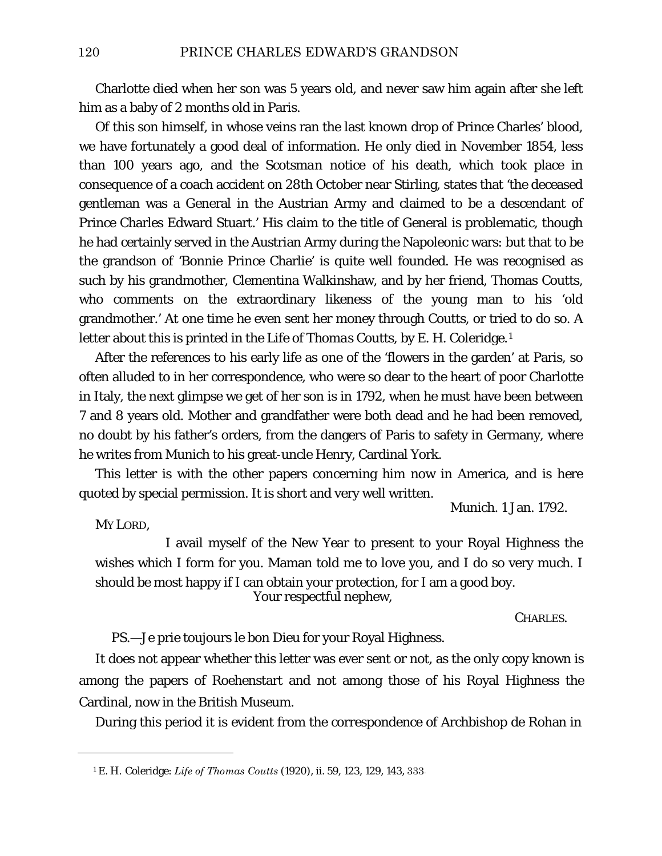Charlotte died when her son was 5 years old, and never saw him again after she left him as a baby of 2 months old in Paris.

Of this son himself, in whose veins ran the last known drop of Prince Charles' blood, we have fortunately a good deal of information. He only died in November 1854, less than 100 years ago, and the *Scotsman* notice of his death, which took place in consequence of a coach accident on 28th October near Stirling, states that 'the deceased gentleman was a General in the Austrian Army and claimed to be a descendant of Prince Charles Edward Stuart.' His claim to the title of General is problematic, though he had certainly served in the Austrian Army during the Napoleonic wars: but that to be the grandson of 'Bonnie Prince Charlie' is quite well founded. He was recognised as such by his grandmother, Clementina Walkinshaw, and by her friend, Thomas Coutts, who comments on the extraordinary likeness of the young man to his 'old grandmother.' At one time he even sent her money through Coutts, or tried to do so. A letter about this is printed in the *Life of Thomas Coutts,* by E. H. Coleridge.[1](#page-4-0)

After the references to his early life as one of the 'flowers in the garden' at Paris, so often alluded to in her correspondence, who were so dear to the heart of poor Charlotte in Italy, the next glimpse we get of her son is in 1792, when he must have been between 7 and 8 years old. Mother and grandfather were both dead and he had been removed, no doubt by his father's orders, from the dangers of Paris to safety in Germany, where he writes from Munich to his great-uncle Henry, Cardinal York.

This letter is with the other papers concerning him now in America, and is here quoted by special permission. It is short and very well written.

Munich. 1 Jan. 1792.

MY LORD,

<span id="page-4-0"></span>ī

I avail myself of the New Year to present to your Royal Highness the wishes which I form for you. Maman told me to love you, and I do so very much. I should be most happy if I can obtain your protection, for I am a good boy. Your respectful nephew,

CHARLES.

*PS*.—Je prie toujours le bon Dieu for your Royal Highness.

It does not appear whether this letter was ever sent or not, as the only copy known is among the papers of Roehenstart and not among those of his Royal Highness the Cardinal, now in the British Museum.

During this period it is evident from the correspondence of Archbishop de Rohan in

<sup>1</sup> E. H. Coleridge: *Life of Thomas Coutts* (1920), ii. 59, 123, 129, 143, 333-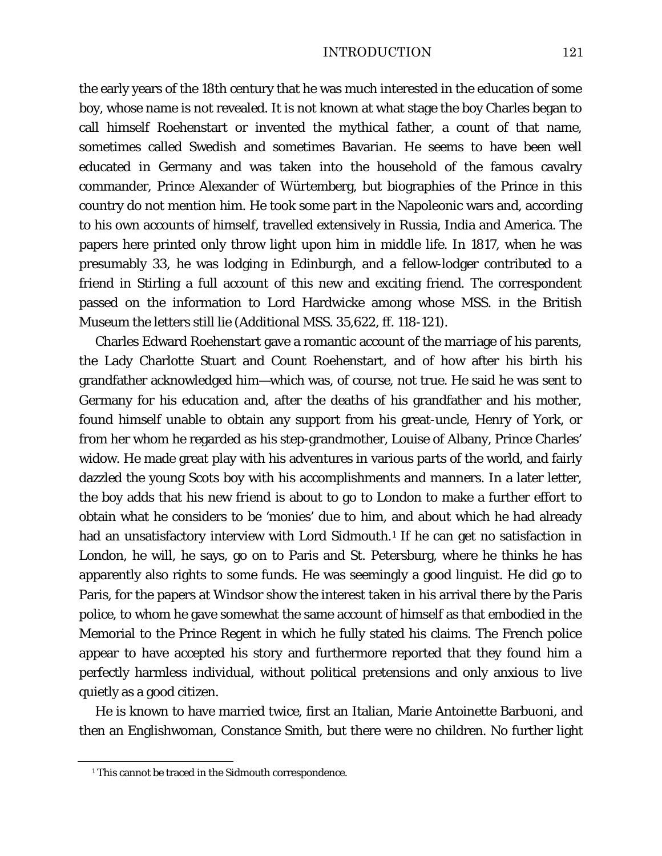the early years of the 18th century that he was much interested in the education of some boy, whose name is not revealed. It is not known at what stage the boy Charles began to call himself Roehenstart or invented the mythical father, a count of that name, sometimes called Swedish and sometimes Bavarian. He seems to have been well educated in Germany and was taken into the household of the famous cavalry commander, Prince Alexander of Würtemberg, but biographies of the Prince in this country do not mention him. He took some part in the Napoleonic wars and, according to his own accounts of himself, travelled extensively in Russia, India and America. The papers here printed only throw light upon him in middle life. In 1817, when he was presumably 33, he was lodging in Edinburgh, and a fellow-lodger contributed to a friend in Stirling a full account of this new and exciting friend. The correspondent passed on the information to Lord Hardwicke among whose MSS. in the British Museum the letters still lie (Additional MSS. 35,622, ff. 118-121).

Charles Edward Roehenstart gave a romantic account of the marriage of his parents, the Lady Charlotte Stuart and Count Roehenstart, and of how after his birth his grandfather acknowledged him—which was, of course, not true. He said he was sent to Germany for his education and, after the deaths of his grandfather and his mother, found himself unable to obtain any support from his great-uncle, Henry of York, or from her whom he regarded as his step-grandmother, Louise of Albany, Prince Charles' widow. He made great play with his adventures in various parts of the world, and fairly dazzled the young Scots boy with his accomplishments and manners. In a later letter, the boy adds that his new friend is about to go to London to make a further effort to obtain what he considers to be 'monies' due to him, and about which he had already had an unsatisfactory interview with Lord Sidmouth.<sup>[1](#page-5-0)</sup> If he can get no satisfaction in London, he will, he says, go on to Paris and St. Petersburg, where he thinks he has apparently also rights to some funds. He was seemingly a good linguist. He did go to Paris, for the papers at Windsor show the interest taken in his arrival there by the Paris police, to whom he gave somewhat the same account of himself as that embodied in the Memorial to the Prince Regent in which he fully stated his claims. The French police appear to have accepted his story and furthermore reported that they found him a perfectly harmless individual, without political pretensions and only anxious to live quietly as a good citizen.

He is known to have married twice, first an Italian, Marie Antoinette Barbuoni, and then an Englishwoman, Constance Smith, but there were no children. No further light

<span id="page-5-0"></span><sup>&</sup>lt;sup>1</sup> This cannot be traced in the Sidmouth correspondence.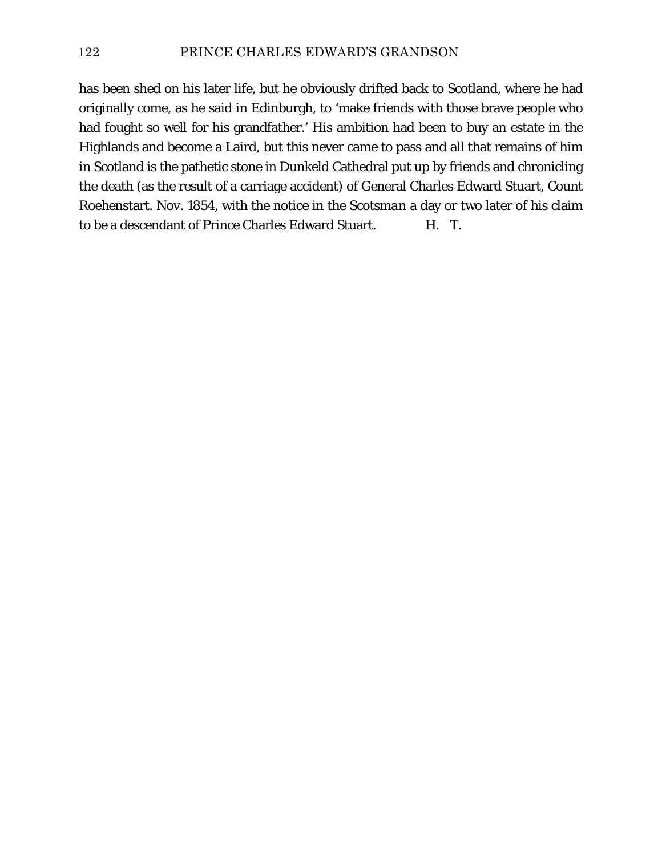has been shed on his later life, but he obviously drifted back to Scotland, where he had originally come, as he said in Edinburgh, to 'make friends with those brave people who had fought so well for his grandfather.' His ambition had been to buy an estate in the Highlands and become a Laird, but this never came to pass and all that remains of him in Scotland is the pathetic stone in Dunkeld Cathedral put up by friends and chronicling the death (as the result of a carriage accident) of General Charles Edward Stuart, Count Roehenstart. Nov. 1854, with the notice in the *Scotsman* a day or two later of his claim to be a descendant of Prince Charles Edward Stuart. H. T.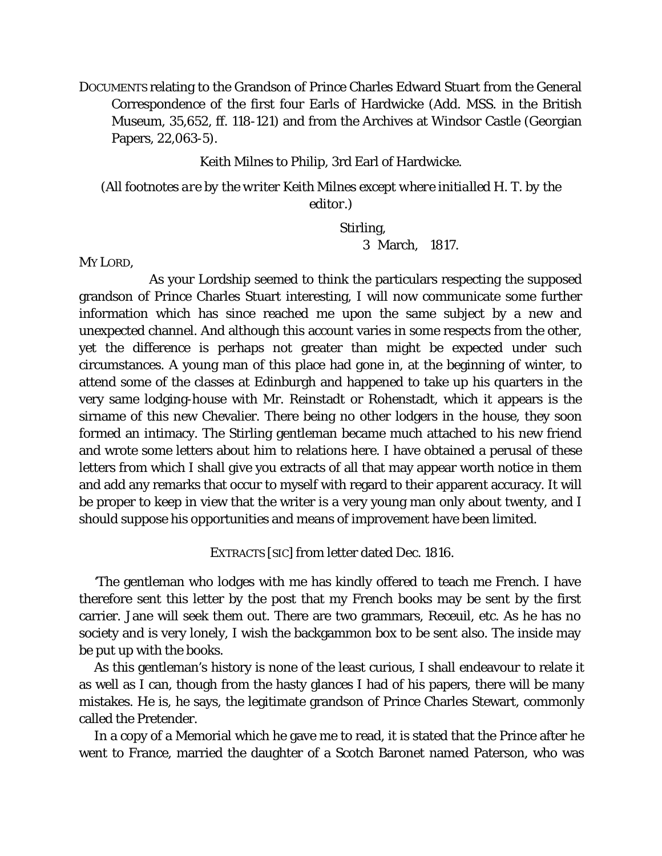DOCUMENTS relating to the Grandson of Prince Charles Edward Stuart from the General Correspondence of the first four Earls of Hardwicke (Add. MSS. in the British Museum, 35,652, ff. 118-121) and from the Archives at Windsor Castle (Georgian Papers, 22,063-5).

Keith Milnes to Philip, 3rd Earl of Hardwicke.

*(All footnotes are by the writer Keith Milnes except where initialled H. T. by the editor.)*

Stirling,

3 March, 1817.

MY LORD,

As your Lordship seemed to think the particulars respecting the supposed grandson of Prince Charles Stuart interesting, I will now communicate some further information which has since reached me upon the same subject by a new and unexpected channel. And although this account varies in some respects from the other, yet the difference is perhaps not greater than might be expected under such circumstances. A young man of this place had gone in, at the beginning of winter, to attend some of the classes at Edinburgh and happened to take up his quarters in the very same lodging-house with Mr. Reinstadt or Rohenstadt, which it appears is the sirname of this new Chevalier. There being no other lodgers in the house, they soon formed an intimacy. The Stirling gentleman became much attached to his new friend and wrote some letters about him to relations here. I have obtained a perusal of these letters from which I shall give you extracts of all that may appear worth notice in them and add any remarks that occur to myself with regard to their apparent accuracy. It will be proper to keep in view that the writer is a very young man only about twenty, and I should suppose his opportunities and means of improvement have been limited.

EXTRACTS [SIC] from letter dated Dec. 1816.

'The gentleman who lodges with me has kindly offered to teach me French. I have therefore sent this letter by the post that my French books may be sent by the first carrier. Jane will seek them out. There are two grammars, Receuil, etc. As he has no society and is very lonely, I wish the backgammon box to be sent also. The inside may be put up with the books.

As this gentleman's history is none of the least curious, I shall endeavour to relate it as well as I can, though from the hasty glances I had of his papers, there will be many mistakes. He is, he says, the legitimate grandson of Prince Charles Stewart, commonly called the Pretender.

In a copy of a Memorial which he gave me to read, it is stated that the Prince after he went to France, married the daughter of a Scotch Baronet named Paterson, who was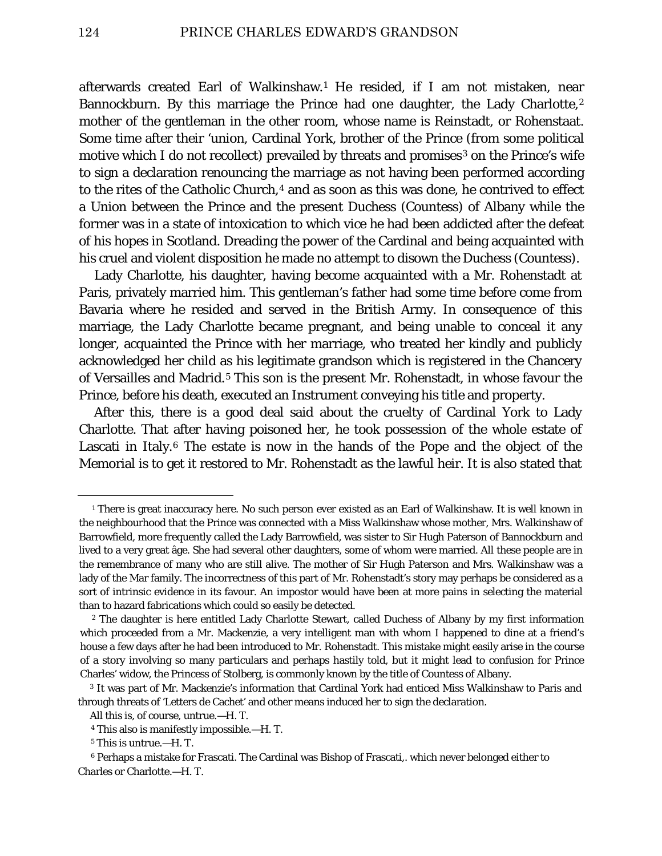afterwards created Earl of Walkinshaw.[1](#page-8-0) He resided, if I am not mistaken, near Bannockburn. By this marriage the Prince had one daughter, the Lady Charlotte,<sup>[2](#page-8-1)</sup> mother of the gentleman in the other room, whose name is Reinstadt, or Rohenstaat. Some time after their 'union, Cardinal York, brother of the Prince (from some political motive which I do not recollect) prevailed by threats and promises<sup>[3](#page-8-2)</sup> on the Prince's wife to sign a declaration renouncing the marriage as not having been performed according to the rites of the Catholic Church,<sup>[4](#page-8-3)</sup> and as soon as this was done, he contrived to effect a Union between the Prince and the present Duchess (*Countess)* of Albany while the former was in a state of intoxication to which vice he had been addicted after the defeat of his hopes in Scotland. Dreading the power of the Cardinal and being acquainted with his cruel and violent disposition he made no attempt to disown the Duchess (*Countess*).

Lady Charlotte, his daughter, having become acquainted with a Mr. Rohenstadt at Paris, privately married him. This gentleman's father had some time before come from Bavaria where he resided and served in the British Army. In consequence of this marriage, the Lady Charlotte became pregnant, and being unable to conceal it any longer, acquainted the Prince with her marriage, who treated her kindly and publicly acknowledged her child as his legitimate grandson which is registered in the Chancery of Versailles and Madrid.[5](#page-8-4) This son is the present Mr. Rohenstadt, in whose favour the Prince, before his death, executed an Instrument conveying his title and property.

After this, there is a good deal said about the cruelty of Cardinal York to Lady Charlotte. That after having poisoned her, he took possession of the whole estate of Lascati in Italy.<sup>[6](#page-8-5)</sup> The estate is now in the hands of the Pope and the object of the Memorial is to get it restored to Mr. Rohenstadt as the lawful heir. It is also stated that

<span id="page-8-0"></span><sup>&</sup>lt;sup>1</sup> There is great inaccuracy here. No such person ever existed as an Earl of Walkinshaw. It is well known in the neighbourhood that the Prince was connected with a Miss Walkinshaw whose mother, Mrs. Walkinshaw of Barrowfield, more frequently called the Lady Barrowfield, was sister to Sir Hugh Paterson of Bannockburn and lived to a very great âge. She had several other daughters, some of whom were married. All these people are in the remembrance of many who are still alive. The mother of Sir Hugh Paterson and Mrs. Walkinshaw was a lady of the Mar family. The incorrectness of this part of Mr. Rohenstadt's story may perhaps be considered as a sort of intrinsic evidence in its favour. An impostor would have been at more pains in selecting the material than to hazard fabrications which could so easily be detected.

<span id="page-8-1"></span><sup>2</sup> The daughter is here entitled Lady Charlotte Stewart, called Duchess of Albany by my first information which proceeded from a Mr. Mackenzie, a very intelligent man with whom I happened to dine at a friend's house a few days after he had been introduced to Mr. Rohenstadt. This mistake might easily arise in the course of a story involving so many particulars and perhaps hastily told, but it might lead to confusion for Prince Charles' widow, the Princess of Stolberg, is commonly known by the title of Countess of Albany.

<span id="page-8-2"></span><sup>3</sup> It was part of Mr. Mackenzie's information that Cardinal York had enticed Miss Walkinshaw to Paris and through threats of 'Letters de Cachet' and other means induced her to sign the declaration.

All this is, of course, untrue.—H. T.

<sup>4</sup> This also is manifestly impossible.—H. T.

<sup>5</sup> This is untrue.—H. T.

<span id="page-8-5"></span><span id="page-8-4"></span><span id="page-8-3"></span><sup>6</sup> Perhaps a mistake for Frascati. The Cardinal was Bishop of Frascati,. which never belonged either to Charles or Charlotte.—H. T.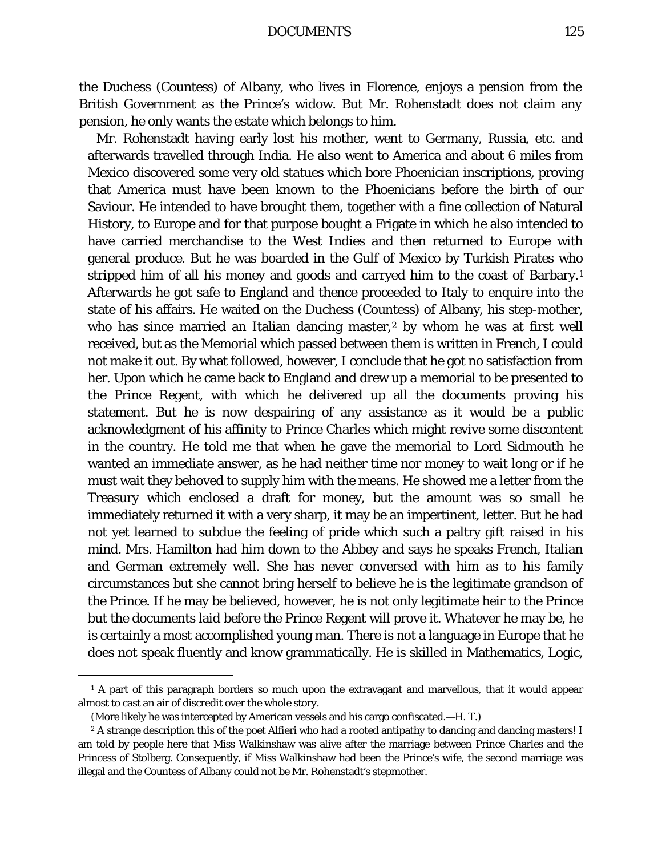DOCUMENTS 125

the Duchess (*Countess)* of Albany, who lives in Florence, enjoys a pension from the British Government as the Prince's widow. But Mr. Rohenstadt does not claim any pension, he only wants the estate which belongs to him.

Mr. Rohenstadt having early lost his mother, went to Germany, Russia, etc. and afterwards travelled through India. He also went to America and about 6 miles from Mexico discovered some very old statues which bore Phoenician inscriptions, proving that America must have been known to the Phoenicians before the birth of our Saviour. He intended to have brought them, together with a fine collection of Natural History, to Europe and for that purpose bought a Frigate in which he also intended to have carried merchandise to the West Indies and then returned to Europe with general produce. But he was boarded in the Gulf of Mexico by Turkish Pirates who stripped him of all his money and goods and carryed him to the coast of Barbary.[1](#page-9-0) Afterwards he got safe to England and thence proceeded to Italy to enquire into the state of his affairs. He waited on the Duchess (*Countess*) of Albany, his step-mother, who has since married an Italian dancing master,<sup>[2](#page-9-1)</sup> by whom he was at first well received, but as the Memorial which passed between them is written in French, I could not make it out. By what followed, however, I conclude that he got no satisfaction from her. Upon which he came back to England and drew up a memorial to be presented to the Prince Regent, with which he delivered up all the documents proving his statement. But he is now despairing of any assistance as it would be a public acknowledgment of his affinity to Prince Charles which might revive some discontent in the country. He told me that when he gave the memorial to Lord Sidmouth he wanted an immediate answer, as he had neither time nor money to wait long or if he must wait they behoved to supply him with the means. He showed me a letter from the Treasury which enclosed a draft for money, but the amount was so small he immediately returned it with a very sharp, it may be an impertinent, letter. But he had not yet learned to subdue the feeling of pride which such a paltry gift raised in his mind. Mrs. Hamilton had him down to the Abbey and says he speaks French, Italian and German extremely well. She has never conversed with him as to his family circumstances but she cannot bring herself to believe he is the legitimate grandson of the Prince. If he may be believed, however, he is not only legitimate heir to the Prince but the documents laid before the Prince Regent will prove it. Whatever he may be, he is certainly a most accomplished young man. There is not a language in Europe that he does not speak fluently and know grammatically. He is skilled in Mathematics, Logic,

<span id="page-9-0"></span><sup>&</sup>lt;sup>1</sup> A part of this paragraph borders so much upon the extravagant and marvellous, that it would appear almost to cast an air of discredit over the whole story.

<sup>(</sup>More likely he was intercepted by American vessels and his cargo confiscated.—H. T.)

<span id="page-9-1"></span><sup>&</sup>lt;sup>2</sup> A strange description this of the poet Alfieri who had a rooted antipathy to dancing and dancing masters! I am told by people here that Miss Walkinshaw was alive after the marriage between Prince Charles and the Princess of Stolberg. Consequently, if Miss Walkinshaw had been the Prince's wife, the second marriage was illegal and the Countess of Albany could not be Mr. Rohenstadt's stepmother.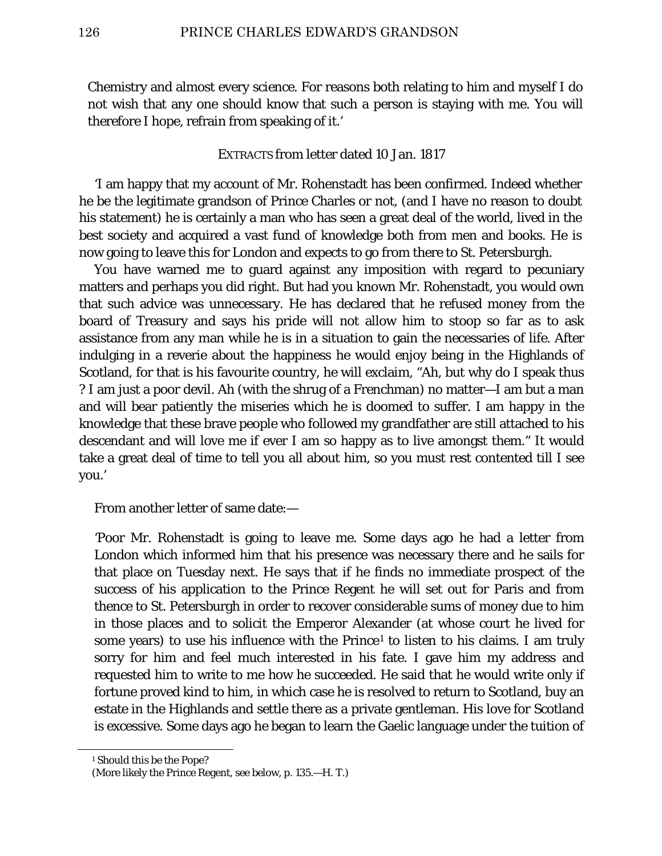Chemistry and almost every science. For reasons both relating to him and myself I do not wish that any one should know that such a person is staying with me. You will therefore I hope, refrain from speaking of it.'

### EXTRACTS from letter dated 10 Jan. 1817

'I am happy that my account of Mr. Rohenstadt has been confirmed. Indeed whether he be the legitimate grandson of Prince Charles or not, (and I have no reason to doubt his statement) he is certainly a man who has seen a great deal of the world, lived in the best society and acquired a vast fund of knowledge both from men and books. He is now going to leave this for London and expects to go from there to St. Petersburgh.

You have warned me to guard against any imposition with regard to pecuniary matters and perhaps you did right. But had you known Mr. Rohenstadt, you would own that such advice was unnecessary. He has declared that he refused money from the board of Treasury and says his pride will not allow him to stoop so far as to ask assistance from any man while he is in a situation to gain the necessaries of life. After indulging in a reverie about the happiness he would enjoy being in the Highlands of Scotland, for that is his favourite country, he will exclaim, "Ah, but why do I speak thus ? I am just a poor devil. Ah (with the shrug of a Frenchman) no matter—I am but a man and will bear patiently the miseries which he is doomed to suffer. I am happy in the knowledge that these brave people who followed my grandfather are still attached to his descendant and will love me if ever I am so happy as to live amongst them." It would take a great deal of time to tell you all about him, so you must rest contented till I see you.'

From another letter of same date:—

'Poor Mr. Rohenstadt is going to leave me. Some days ago he had a letter from London which informed him that his presence was necessary there and he sails for that place on Tuesday next. He says that if he finds no immediate prospect of the success of his application to the Prince Regent he will set out for Paris and from thence to St. Petersburgh in order to recover considerable sums of money due to him in those places and to solicit the Emperor Alexander (at whose court he lived for some years) to use his influence with the Prince<sup>[1](#page-10-0)</sup> to listen to his claims. I am truly sorry for him and feel much interested in his fate. I gave him my address and requested him to write to me how he succeeded. He said that he would write only if fortune proved kind to him, in which case he is resolved to return to Scotland, buy an estate in the Highlands and settle there as a private gentleman. His love for Scotland is excessive. Some days ago he began to learn the Gaelic language under the tuition of

<span id="page-10-0"></span><sup>&</sup>lt;sup>1</sup> Should this be the Pope?

<sup>(</sup>More likely the Prince Regent, see below, p. 135.—H. T.)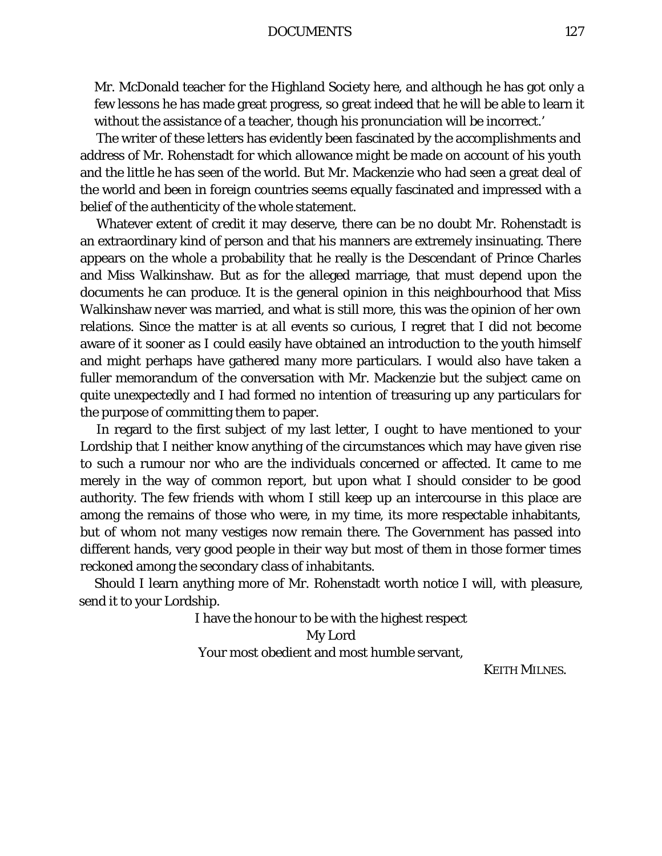DOCUMENTS 127

Mr. McDonald teacher for the Highland Society here, and although he has got only a few lessons he has made great progress, so great indeed that he will be able to learn it without the assistance of a teacher, though his pronunciation will be incorrect.'

The writer of these letters has evidently been fascinated by the accomplishments and address of Mr. Rohenstadt for which allowance might be made on account of his youth and the little he has seen of the world. But Mr. Mackenzie who had seen a great deal of the world and been in foreign countries seems equally fascinated and impressed with a belief of the authenticity of the whole statement.

Whatever extent of credit it may deserve, there can be no doubt Mr. Rohenstadt is an extraordinary kind of person and that his manners are extremely insinuating. There appears on the whole a probability that he really is the Descendant of Prince Charles and Miss Walkinshaw. But as for the alleged marriage, that must depend upon the documents he can produce. It is the general opinion in this neighbourhood that Miss Walkinshaw never was married, and what is still more, this was the opinion of her own relations. Since the matter is at all events so curious, I regret that I did not become aware of it sooner as I could easily have obtained an introduction to the youth himself and might perhaps have gathered many more particulars. I would also have taken a fuller memorandum of the conversation with Mr. Mackenzie but the subject came on quite unexpectedly and I had formed no intention of treasuring up any particulars for the purpose of committing them to paper.

In regard to the first subject of my last letter, I ought to have mentioned to your Lordship that I neither know anything of the circumstances which may have given rise to such a rumour nor who are the individuals concerned or affected. It came to me merely in the way of common report, but upon what I should consider to be good authority. The few friends with whom I still keep up an intercourse in this place are among the remains of those who were, in my time, its more respectable inhabitants, but of whom not many vestiges now remain there. The Government has passed into different hands, very good people in their way but most of them in those former times reckoned among the secondary class of inhabitants.

Should I learn anything more of Mr. Rohenstadt worth notice I will, with pleasure, send it to your Lordship.

I have the honour to be with the highest respect

My Lord

Your most obedient and most humble servant,

KEITH MILNES.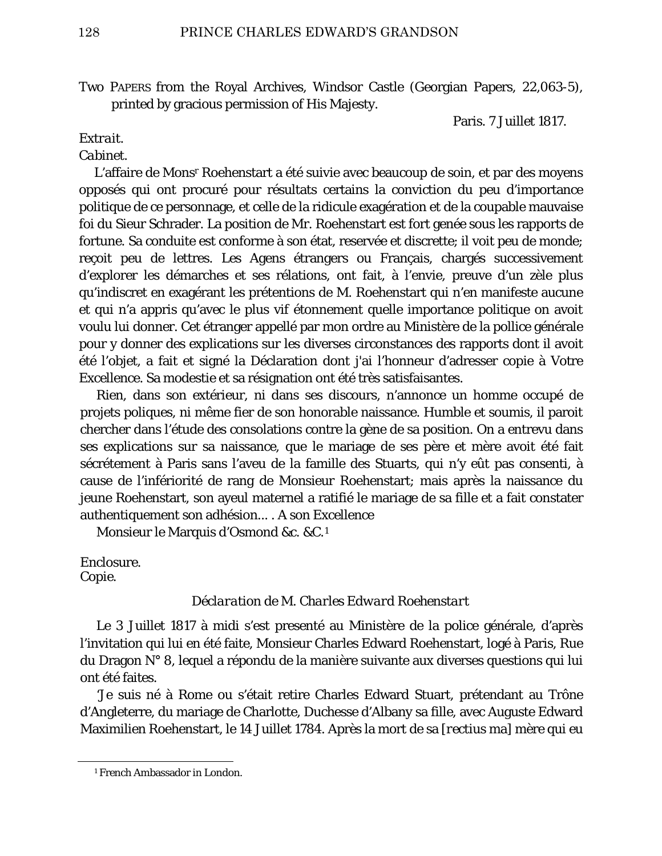Two PAPERS from the Royal Archives, Windsor Castle (Georgian Papers, 22,063-5), printed by gracious permission of His Majesty.

Paris. 7 Juillet 1817.

## *Extrait.*

## *Cabinet.*

L'affaire de Monsr Roehenstart a été suivie avec beaucoup de soin, et par des moyens opposés qui ont procuré pour résultats certains la conviction du peu d'importance politique de ce personnage, et celle de la ridicule exagération et de la coupable mauvaise foi du Sieur Schrader. La position de Mr. Roehenstart est fort genée sous les rapports de fortune. Sa conduite est conforme à son état, reservée et discrette; il voit peu de monde; reçoit peu de lettres. Les Agens étrangers ou Français, chargés successivement d'explorer les démarches et ses rélations, ont fait, à l'envie, preuve d'un zèle plus qu'indiscret en exagérant les prétentions de M. Roehenstart qui n'en manifeste aucune et qui n'a appris qu'avec le plus vif étonnement quelle importance politique on avoit voulu lui donner. Cet étranger appellé par mon ordre au Ministère de la pollice générale pour y donner des explications sur les diverses circonstances des rapports dont il avoit été l'objet, a fait et signé la Déclaration dont j'ai l'honneur d'adresser copie à Votre Excellence. Sa modestie et sa résignation ont été très satisfaisantes.

Rien, dans son extérieur, ni dans ses discours, n'annonce un homme occupé de projets poliques, ni même fier de son honorable naissance. Humble et soumis, il paroit chercher dans l'étude des consolations contre la gène de sa position. On a entrevu dans ses explications sur sa naissance, que le mariage de ses père et mère avoit été fait sécrétement à Paris sans l'aveu de la famille des Stuarts, qui n'y eût pas consenti, à cause de l'infériorité de rang de Monsieur Roehenstart; mais après la naissance du jeune Roehenstart, son ayeul maternel a ratifié le mariage de sa fille et a fait constater authentiquement son adhésion... . A son Excellence

Monsieur le Marquis d'Osmond &c. &C.[1](#page-12-0)

Enclosure. *Copie.*

## *Déclaration de M. Charles Edward Roehenstart*

Le 3 Juillet 1817 à midi s'est presenté au Ministère de la police générale, d'après l'invitation qui lui en été faite, Monsieur Charles Edward Roehenstart, logé à Paris, Rue du Dragon N° 8, lequel a répondu de la manière suivante aux diverses questions qui lui ont été faites.

'Je suis né à Rome ou s'était retire Charles Edward Stuart, prétendant au Trône d'Angleterre, du mariage de Charlotte, Duchesse d'Albany sa fille, avec Auguste Edward Maximilien Roehenstart, le 14 Juillet 1784. Après la mort de sa [*rectius* ma] mère qui eu

<span id="page-12-0"></span><sup>&</sup>lt;sup>1</sup> French Ambassador in London.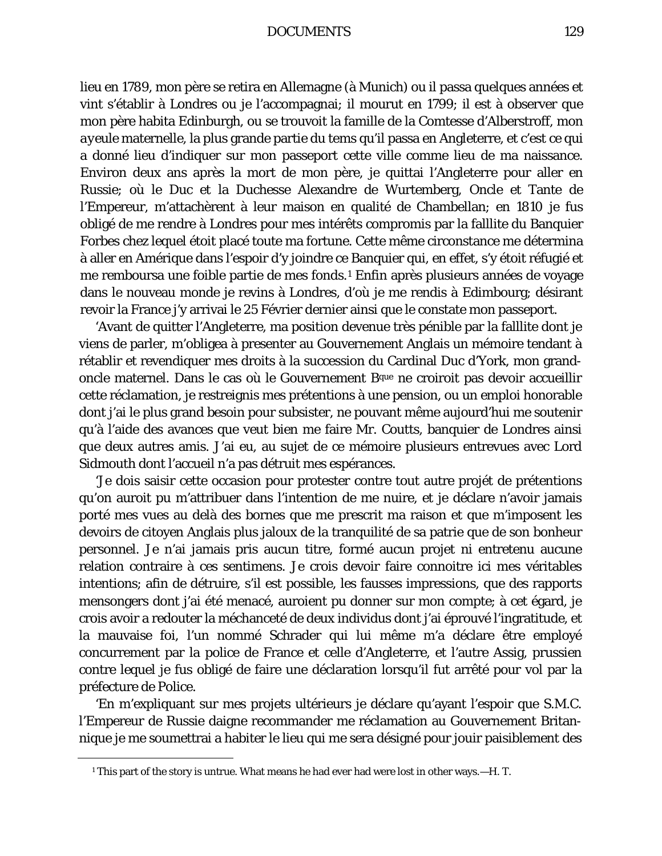#### DOCUMENTS 129

lieu en 1789, mon père se retira en Allemagne (à Munich) ou il passa quelques années et vint s'établir à Londres ou je l'accompagnai; il mourut en 1799; il est à observer que mon père habita Edinburgh, ou se trouvoit la famille de la Comtesse d'Alberstroff, mon *ayeule* maternelle, la plus grande partie du tems qu'il passa en Angleterre, et c'est ce qui a donné lieu d'indiquer sur mon passeport cette ville comme lieu de ma naissance. Environ deux ans après la mort de mon père, je quittai l'Angleterre pour aller en Russie; où le Duc et la Duchesse Alexandre de Wurtemberg, Oncle et Tante de l'Empereur, m'attachèrent à leur maison en qualité de Chambellan; en 1810 je fus obligé de me rendre à Londres pour mes intérêts compromis par la falllite du Banquier Forbes chez lequel étoit placé toute ma fortune. Cette même circonstance me détermina à aller en Amérique dans l'espoir d'y joindre ce Banquier qui, en effet, s'y étoit réfugié et me remboursa une foible partie de mes fonds.[1](#page-13-0) Enfin après plusieurs années de voyage dans le nouveau monde je revins à Londres, d'où je me rendis à Edimbourg; désirant revoir la France j'y arrivai le 25 Février dernier ainsi que le constate mon passeport.

'Avant de quitter l'Angleterre, ma position devenue très pénible par la falllite dont je viens de parler, m'obligea à presenter au Gouvernement Anglais un mémoire tendant à rétablir et revendiquer mes droits à la succession du Cardinal Duc d'York, mon grandoncle maternel. Dans le cas où le Gouvernement Bque ne croiroit pas devoir accueillir cette réclamation, je restreignis mes prétentions à une pension, ou un emploi honorable dont j'ai le plus grand besoin pour subsister, ne pouvant même aujourd'hui me soutenir qu'à l'aide des avances que veut bien me faire Mr. Coutts, banquier de Londres ainsi que deux autres amis. J'ai eu, au sujet de ce mémoire plusieurs entrevues avec Lord Sidmouth dont l'accueil n'a pas détruit mes espérances.

'Je dois saisir cette occasion pour protester contre tout autre projét de prétentions qu'on auroit pu m'attribuer dans l'intention de me nuire, et je déclare n'avoir jamais porté mes vues au delà des bornes que me prescrit ma raison et que m'imposent les devoirs de citoyen Anglais plus jaloux de la tranquilité de sa patrie que de son bonheur personnel. Je n'ai jamais pris aucun titre, formé aucun projet ni entretenu aucune relation contraire à ces sentimens. Je crois devoir faire connoitre ici mes véritables intentions; afin de détruire, s'il est possible, les fausses impressions, que des rapports mensongers dont j'ai été menacé, auroient pu donner sur mon compte; à cet égard, je crois avoir a redouter la méchanceté de deux individus dont j'ai éprouvé l'ingratitude, et la mauvaise foi, l'un nommé Schrader qui lui même m'a déclare être employé concurrement par la police de France et celle d'Angleterre, et l'autre Assig, prussien contre lequel je fus obligé de faire une déclaration lorsqu'il fut arrêté pour vol par la préfecture de Police.

'En m'expliquant sur mes projets ultérieurs je déclare qu'ayant l'espoir que S.M.C. l'Empereur de Russie daigne recommander me réclamation au Gouvernement Britannique je me soumettrai a habiter le lieu qui me sera désigné pour jouir paisiblement des

<span id="page-13-0"></span><sup>&</sup>lt;sup>1</sup> This part of the story is untrue. What means he had ever had were lost in other ways.—H. T.